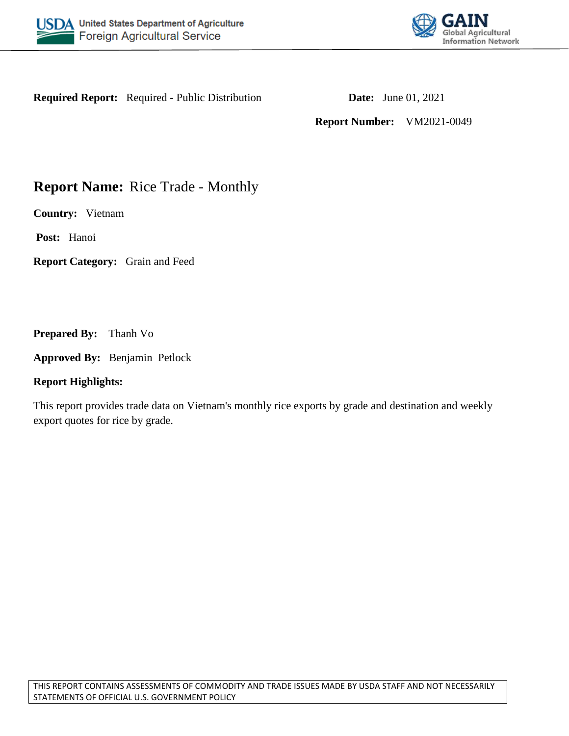



**Required Report:** Required - Public Distribution **Date:** June 01, 2021

**Report Number:** VM2021-0049

# **Report Name:** Rice Trade - Monthly

**Country:** Vietnam

**Post:** Hanoi

**Report Category:** Grain and Feed

**Prepared By:** Thanh Vo

**Approved By:** Benjamin Petlock

## **Report Highlights:**

This report provides trade data on Vietnam's monthly rice exports by grade and destination and weekly export quotes for rice by grade.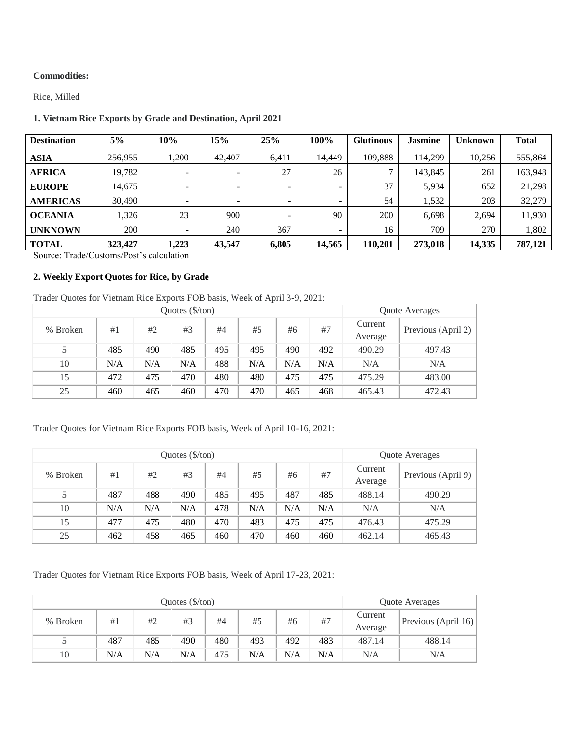#### **Commodities:**

Rice, Milled

### **1. Vietnam Rice Exports by Grade and Destination, April 2021**

| <b>Destination</b> | 5%      | 10%   | 15%                      | 25%                      | 100%                     | <b>Glutinous</b> | <b>Jasmine</b> | Unknown | <b>Total</b> |
|--------------------|---------|-------|--------------------------|--------------------------|--------------------------|------------------|----------------|---------|--------------|
| <b>ASIA</b>        | 256,955 | .200  | 42,407                   | 6,411                    | 14.449                   | 109.888          | 114.299        | 10,256  | 555,864      |
| <b>AFRICA</b>      | 19,782  | ۰     | $\overline{\phantom{0}}$ | 27                       | 26                       | ⇁                | 143,845        | 261     | 163,948      |
| <b>EUROPE</b>      | 14,675  |       | $\overline{\phantom{0}}$ | $\overline{\phantom{0}}$ | $\overline{\phantom{0}}$ | 37               | 5,934          | 652     | 21,298       |
| <b>AMERICAS</b>    | 30,490  | ۰     | -                        | $\overline{\phantom{0}}$ | $\overline{\phantom{0}}$ | 54               | 1,532          | 203     | 32,279       |
| <b>OCEANIA</b>     | ,326    | 23    | 900                      |                          | 90                       | 200              | 6,698          | 2,694   | 11,930       |
| <b>UNKNOWN</b>     | 200     | ۰     | 240                      | 367                      | $\overline{\phantom{0}}$ | 16               | 709            | 270     | 1,802        |
| <b>TOTAL</b>       | 323,427 | 1,223 | 43.547                   | 6.805                    | 14.565                   | 110.201          | 273,018        | 14,335  | 787,121      |

Source: Trade/Customs/Post's calculation

#### **2. Weekly Export Quotes for Rice, by Grade**

Trader Quotes for Vietnam Rice Exports FOB basis, Week of April 3-9, 2021:

|          |     | Quote Averages |     |     |     |     |     |                    |                            |
|----------|-----|----------------|-----|-----|-----|-----|-----|--------------------|----------------------------|
| % Broken | #1  | #2             | #3  | #4  | #5  | #6  | #7  | Current<br>Average | Previous (April 2) $\vert$ |
|          | 485 | 490            | 485 | 495 | 495 | 490 | 492 | 490.29             | 497.43                     |
| 10       | N/A | N/A            | N/A | 488 | N/A | N/A | N/A | N/A                | N/A                        |
| 15       | 472 | 475            | 470 | 480 | 480 | 475 | 475 | 475.29             | 483.00                     |
| 25       | 460 | 465            | 460 | 470 | 470 | 465 | 468 | 465.43             | 472.43                     |

### Trader Quotes for Vietnam Rice Exports FOB basis, Week of April 10-16, 2021:

|          |     | Quote Averages |     |     |     |     |     |                    |                    |
|----------|-----|----------------|-----|-----|-----|-----|-----|--------------------|--------------------|
| % Broken | #1  | #2             | #3  | #4  | #5  | #6  | #7  | Current<br>Average | Previous (April 9) |
|          | 487 | 488            | 490 | 485 | 495 | 487 | 485 | 488.14             | 490.29             |
| 10       | N/A | N/A            | N/A | 478 | N/A | N/A | N/A | N/A                | N/A                |
| 15       | 477 | 475            | 480 | 470 | 483 | 475 | 475 | 476.43             | 475.29             |
| 25       | 462 | 458            | 465 | 460 | 470 | 460 | 460 | 462.14             | 465.43             |

Trader Quotes for Vietnam Rice Exports FOB basis, Week of April 17-23, 2021:

|          |     | Quote Averages |     |     |     |     |     |                    |                     |
|----------|-----|----------------|-----|-----|-----|-----|-----|--------------------|---------------------|
| % Broken | #1  | #2             | #3  | #4  | #5  | #6  | #7  | Current<br>Average | Previous (April 16) |
|          | 487 | 485            | 490 | 480 | 493 | 492 | 483 | 487.14             | 488.14              |
| 10       | N/A | N/A            | N/A | 475 | N/A | N/A | N/A | N/A                | N/A                 |